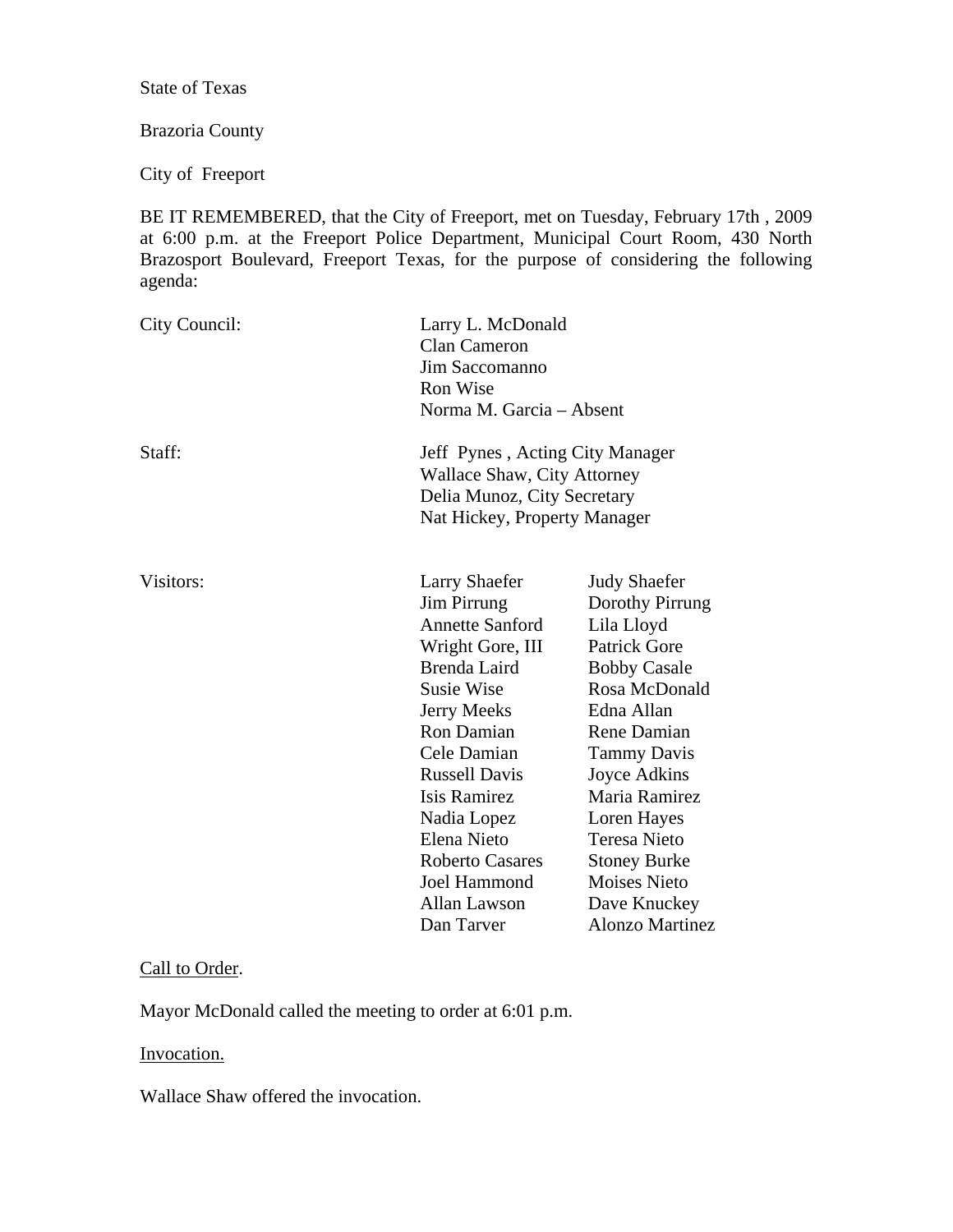State of Texas

Brazoria County

City of Freeport

BE IT REMEMBERED, that the City of Freeport, met on Tuesday, February 17th , 2009 at 6:00 p.m. at the Freeport Police Department, Municipal Court Room, 430 North Brazosport Boulevard, Freeport Texas, for the purpose of considering the following agenda:

| City Council: | <b>Clan Cameron</b><br>Jim Saccomanno<br>Ron Wise                                                                                                                                                                                                                                                                       | Larry L. McDonald<br>Norma M. Garcia – Absent                                                                                                                                                                                                                                                               |  |
|---------------|-------------------------------------------------------------------------------------------------------------------------------------------------------------------------------------------------------------------------------------------------------------------------------------------------------------------------|-------------------------------------------------------------------------------------------------------------------------------------------------------------------------------------------------------------------------------------------------------------------------------------------------------------|--|
| Staff:        | Jeff Pynes, Acting City Manager<br><b>Wallace Shaw, City Attorney</b><br>Delia Munoz, City Secretary<br>Nat Hickey, Property Manager                                                                                                                                                                                    |                                                                                                                                                                                                                                                                                                             |  |
| Visitors:     | <b>Larry Shaefer</b><br><b>Jim Pirrung</b><br><b>Annette Sanford</b><br>Wright Gore, III<br>Brenda Laird<br><b>Susie Wise</b><br>Jerry Meeks<br>Ron Damian<br>Cele Damian<br><b>Russell Davis</b><br>Isis Ramirez<br>Nadia Lopez<br>Elena Nieto<br><b>Roberto Casares</b><br><b>Joel Hammond</b><br><b>Allan Lawson</b> | <b>Judy Shaefer</b><br>Dorothy Pirrung<br>Lila Lloyd<br><b>Patrick Gore</b><br><b>Bobby Casale</b><br>Rosa McDonald<br>Edna Allan<br>Rene Damian<br><b>Tammy Davis</b><br>Joyce Adkins<br>Maria Ramirez<br>Loren Hayes<br><b>Teresa Nieto</b><br><b>Stoney Burke</b><br><b>Moises Nieto</b><br>Dave Knuckey |  |
|               | Dan Tarver                                                                                                                                                                                                                                                                                                              | <b>Alonzo Martinez</b>                                                                                                                                                                                                                                                                                      |  |

## Call to Order.

Mayor McDonald called the meeting to order at 6:01 p.m.

Invocation.

Wallace Shaw offered the invocation.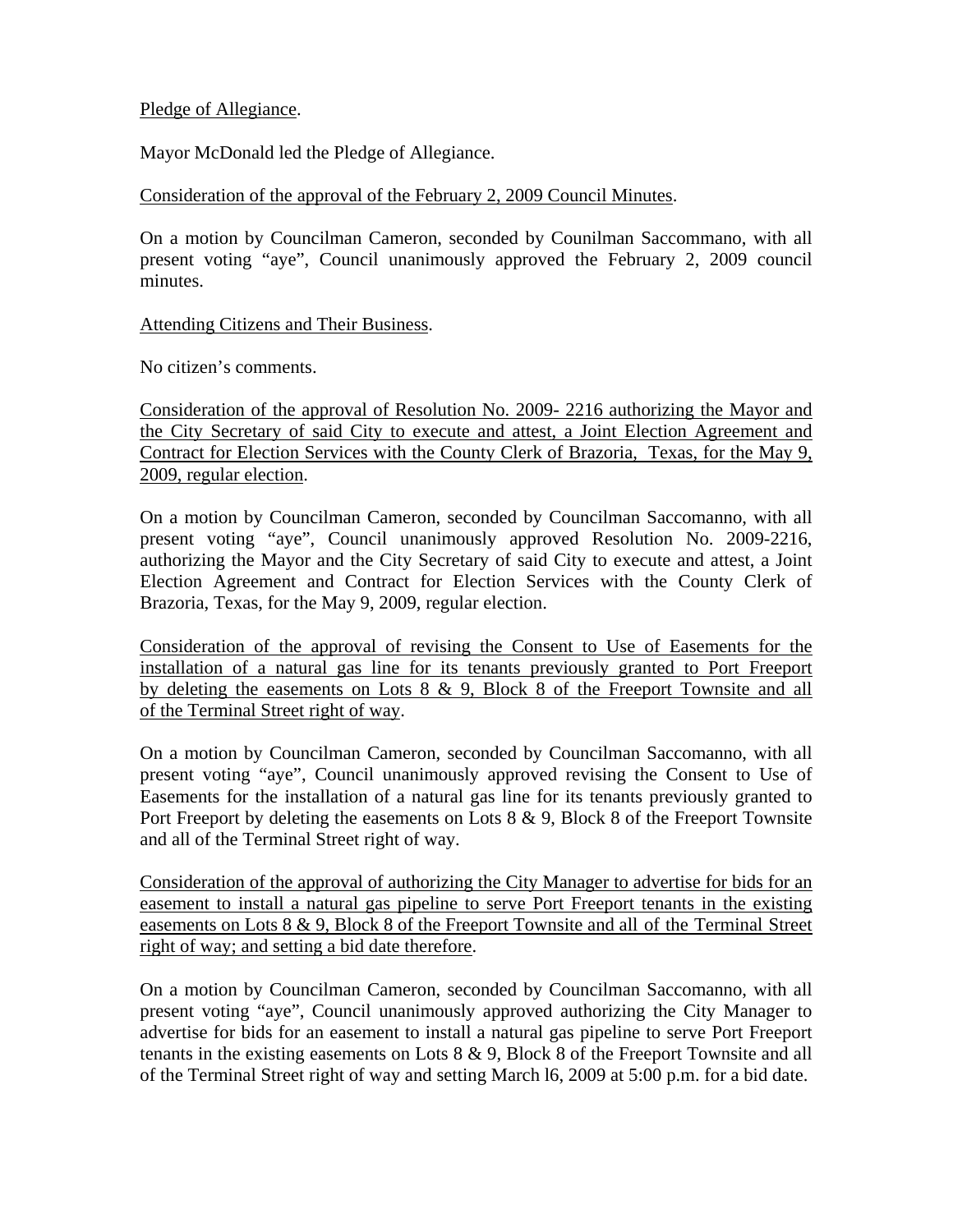#### Pledge of Allegiance.

Mayor McDonald led the Pledge of Allegiance.

## Consideration of the approval of the February 2, 2009 Council Minutes.

On a motion by Councilman Cameron, seconded by Counilman Saccommano, with all present voting "aye", Council unanimously approved the February 2, 2009 council minutes.

## Attending Citizens and Their Business.

No citizen's comments.

Consideration of the approval of Resolution No. 2009- 2216 authorizing the Mayor and the City Secretary of said City to execute and attest, a Joint Election Agreement and Contract for Election Services with the County Clerk of Brazoria, Texas, for the May 9, 2009, regular election.

On a motion by Councilman Cameron, seconded by Councilman Saccomanno, with all present voting "aye", Council unanimously approved Resolution No. 2009-2216, authorizing the Mayor and the City Secretary of said City to execute and attest, a Joint Election Agreement and Contract for Election Services with the County Clerk of Brazoria, Texas, for the May 9, 2009, regular election.

Consideration of the approval of revising the Consent to Use of Easements for the installation of a natural gas line for its tenants previously granted to Port Freeport by deleting the easements on Lots  $8 \& 9$ , Block  $8 \& 6 \& 1$  for Freeport Townsite and all of the Terminal Street right of way.

On a motion by Councilman Cameron, seconded by Councilman Saccomanno, with all present voting "aye", Council unanimously approved revising the Consent to Use of Easements for the installation of a natural gas line for its tenants previously granted to Port Freeport by deleting the easements on Lots 8 & 9, Block 8 of the Freeport Townsite and all of the Terminal Street right of way.

Consideration of the approval of authorizing the City Manager to advertise for bids for an easement to install a natural gas pipeline to serve Port Freeport tenants in the existing easements on Lots 8 & 9, Block 8 of the Freeport Townsite and all of the Terminal Street right of way; and setting a bid date therefore.

On a motion by Councilman Cameron, seconded by Councilman Saccomanno, with all present voting "aye", Council unanimously approved authorizing the City Manager to advertise for bids for an easement to install a natural gas pipeline to serve Port Freeport tenants in the existing easements on Lots 8 & 9, Block 8 of the Freeport Townsite and all of the Terminal Street right of way and setting March l6, 2009 at 5:00 p.m. for a bid date.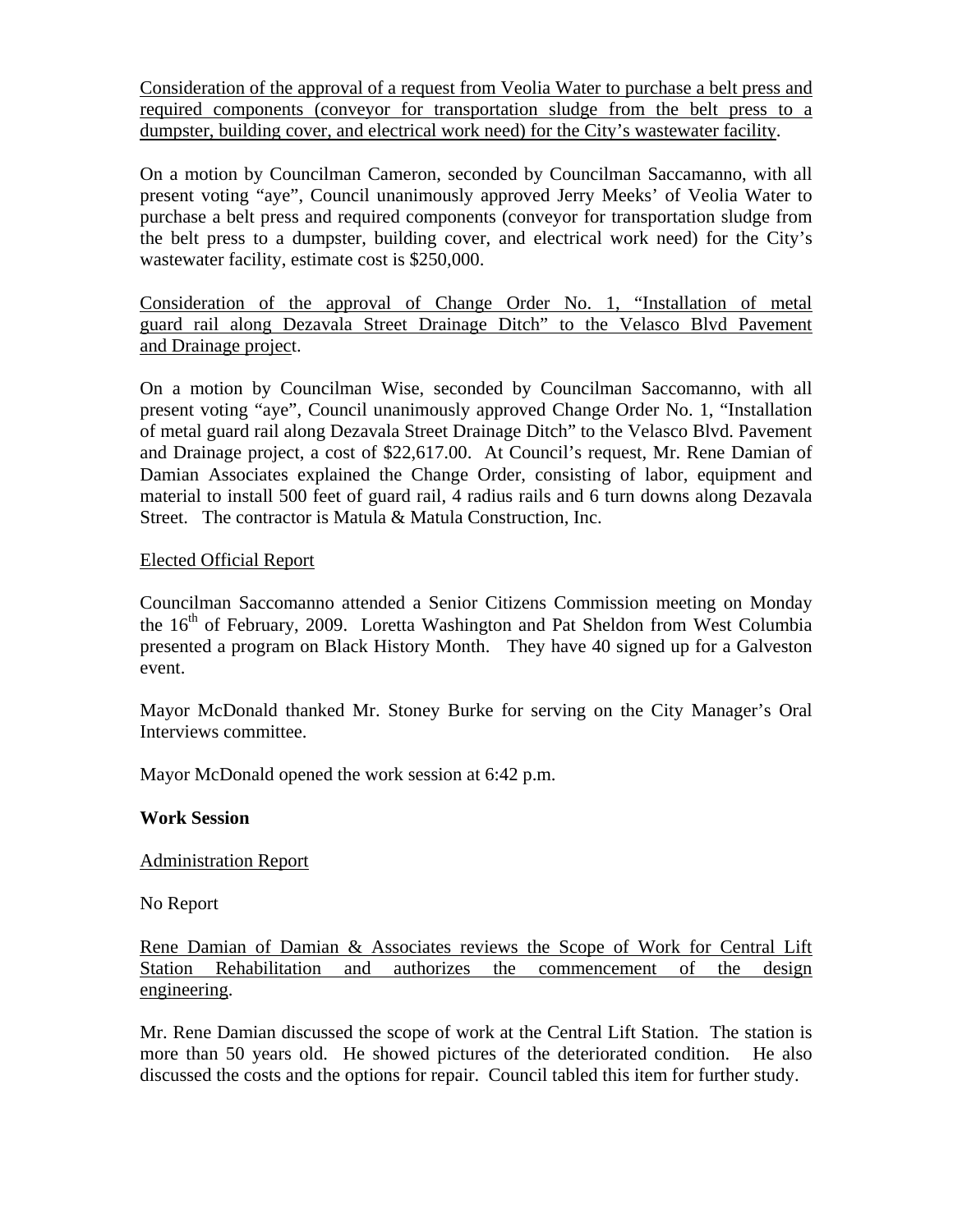Consideration of the approval of a request from Veolia Water to purchase a belt press and required components (conveyor for transportation sludge from the belt press to a dumpster, building cover, and electrical work need) for the City's wastewater facility.

On a motion by Councilman Cameron, seconded by Councilman Saccamanno, with all present voting "aye", Council unanimously approved Jerry Meeks' of Veolia Water to purchase a belt press and required components (conveyor for transportation sludge from the belt press to a dumpster, building cover, and electrical work need) for the City's wastewater facility, estimate cost is \$250,000.

Consideration of the approval of Change Order No. 1, "Installation of metal guard rail along Dezavala Street Drainage Ditch" to the Velasco Blvd Pavement and Drainage project.

On a motion by Councilman Wise, seconded by Councilman Saccomanno, with all present voting "aye", Council unanimously approved Change Order No. 1, "Installation of metal guard rail along Dezavala Street Drainage Ditch" to the Velasco Blvd. Pavement and Drainage project, a cost of \$22,617.00. At Council's request, Mr. Rene Damian of Damian Associates explained the Change Order, consisting of labor, equipment and material to install 500 feet of guard rail, 4 radius rails and 6 turn downs along Dezavala Street. The contractor is Matula & Matula Construction, Inc.

# Elected Official Report

Councilman Saccomanno attended a Senior Citizens Commission meeting on Monday the  $16<sup>th</sup>$  of February, 2009. Loretta Washington and Pat Sheldon from West Columbia presented a program on Black History Month. They have 40 signed up for a Galveston event.

Mayor McDonald thanked Mr. Stoney Burke for serving on the City Manager's Oral Interviews committee.

Mayor McDonald opened the work session at 6:42 p.m.

#### **Work Session**

# Administration Report

No Report

Rene Damian of Damian & Associates reviews the Scope of Work for Central Lift Station Rehabilitation and authorizes the commencement of the design engineering.

Mr. Rene Damian discussed the scope of work at the Central Lift Station. The station is more than 50 years old. He showed pictures of the deteriorated condition. He also discussed the costs and the options for repair. Council tabled this item for further study.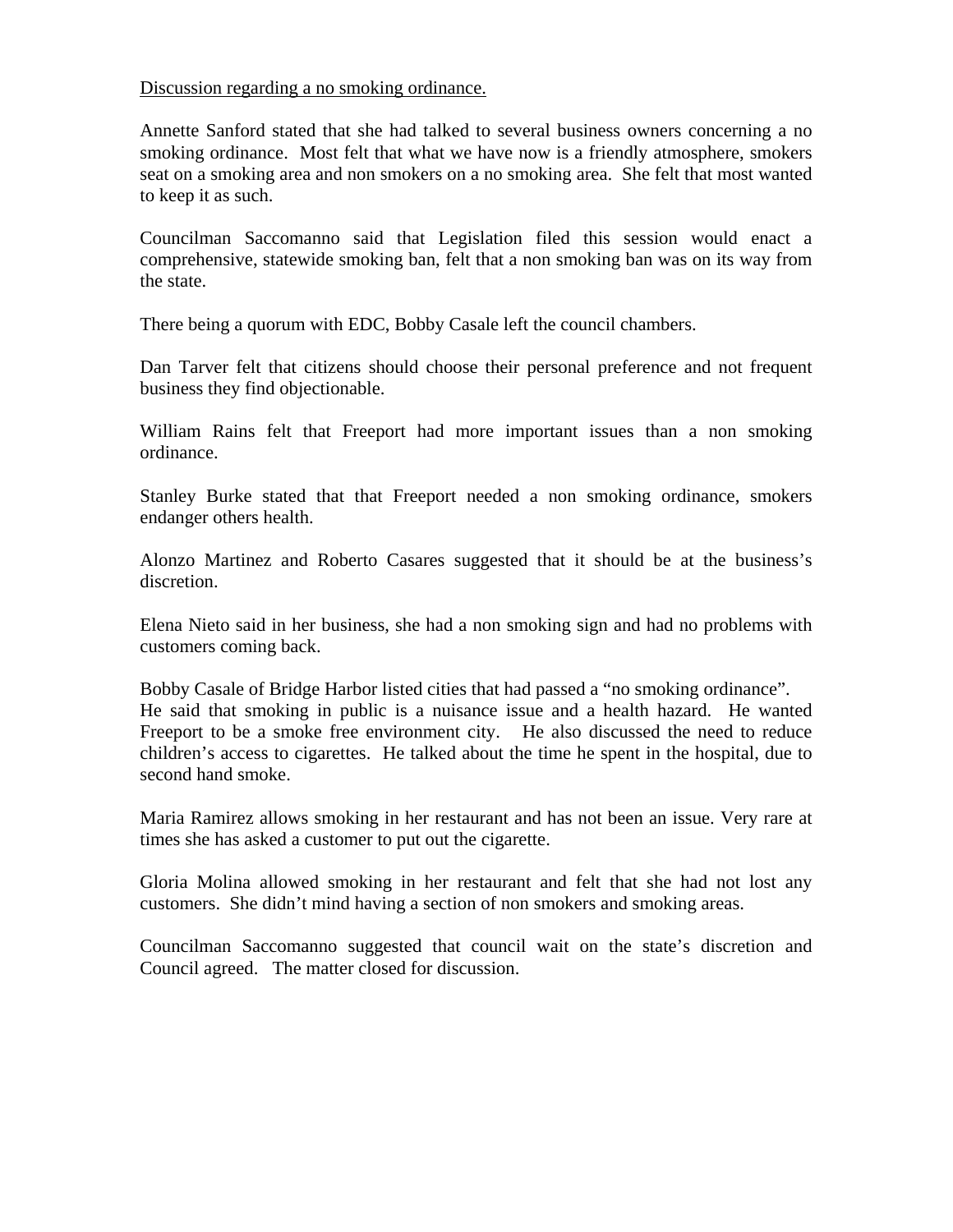Discussion regarding a no smoking ordinance.

Annette Sanford stated that she had talked to several business owners concerning a no smoking ordinance. Most felt that what we have now is a friendly atmosphere, smokers seat on a smoking area and non smokers on a no smoking area. She felt that most wanted to keep it as such.

Councilman Saccomanno said that Legislation filed this session would enact a comprehensive, statewide smoking ban, felt that a non smoking ban was on its way from the state.

There being a quorum with EDC, Bobby Casale left the council chambers.

Dan Tarver felt that citizens should choose their personal preference and not frequent business they find objectionable.

William Rains felt that Freeport had more important issues than a non smoking ordinance.

Stanley Burke stated that that Freeport needed a non smoking ordinance, smokers endanger others health.

Alonzo Martinez and Roberto Casares suggested that it should be at the business's discretion.

Elena Nieto said in her business, she had a non smoking sign and had no problems with customers coming back.

Bobby Casale of Bridge Harbor listed cities that had passed a "no smoking ordinance". He said that smoking in public is a nuisance issue and a health hazard. He wanted Freeport to be a smoke free environment city. He also discussed the need to reduce children's access to cigarettes. He talked about the time he spent in the hospital, due to second hand smoke.

Maria Ramirez allows smoking in her restaurant and has not been an issue. Very rare at times she has asked a customer to put out the cigarette.

Gloria Molina allowed smoking in her restaurant and felt that she had not lost any customers. She didn't mind having a section of non smokers and smoking areas.

Councilman Saccomanno suggested that council wait on the state's discretion and Council agreed. The matter closed for discussion.